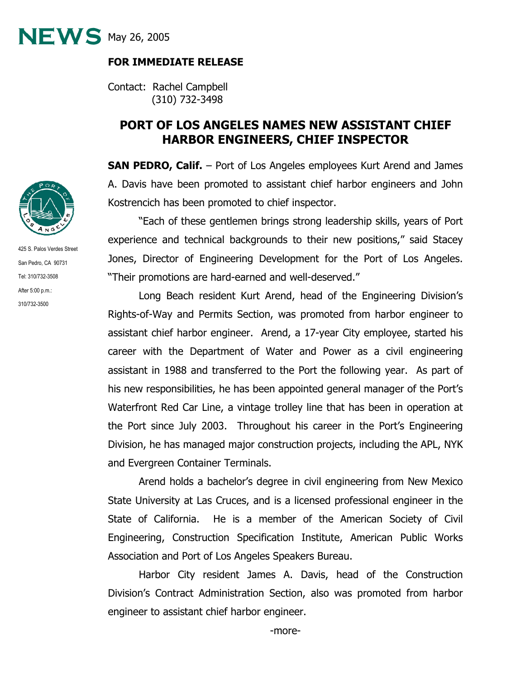$NEWS$  May 26, 2005

## **FOR IMMEDIATE RELEASE**

Contact: Rachel Campbell (310) 732-3498

## **PORT OF LOS ANGELES NAMES NEW ASSISTANT CHIEF HARBOR ENGINEERS, CHIEF INSPECTOR**

**SAN PEDRO, Calif.** – Port of Los Angeles employees Kurt Arend and James A. Davis have been promoted to assistant chief harbor engineers and John Kostrencich has been promoted to chief inspector.

"Each of these gentlemen brings strong leadership skills, years of Port experience and technical backgrounds to their new positions," said Stacey Jones, Director of Engineering Development for the Port of Los Angeles. "Their promotions are hard-earned and well-deserved."

Long Beach resident Kurt Arend, head of the Engineering Division's Rights-of-Way and Permits Section, was promoted from harbor engineer to assistant chief harbor engineer. Arend, a 17-year City employee, started his career with the Department of Water and Power as a civil engineering assistant in 1988 and transferred to the Port the following year. As part of his new responsibilities, he has been appointed general manager of the Port's Waterfront Red Car Line, a vintage trolley line that has been in operation at the Port since July 2003. Throughout his career in the Port's Engineering Division, he has managed major construction projects, including the APL, NYK and Evergreen Container Terminals.

Arend holds a bachelor's degree in civil engineering from New Mexico State University at Las Cruces, and is a licensed professional engineer in the State of California. He is a member of the American Society of Civil Engineering, Construction Specification Institute, American Public Works Association and Port of Los Angeles Speakers Bureau.

Harbor City resident James A. Davis, head of the Construction Division's Contract Administration Section, also was promoted from harbor engineer to assistant chief harbor engineer.



425 S. Palos Verdes Street San Pedro, CA 90731 Tel: 310/732-3508 After 5:00 p.m.: 310/732-3500